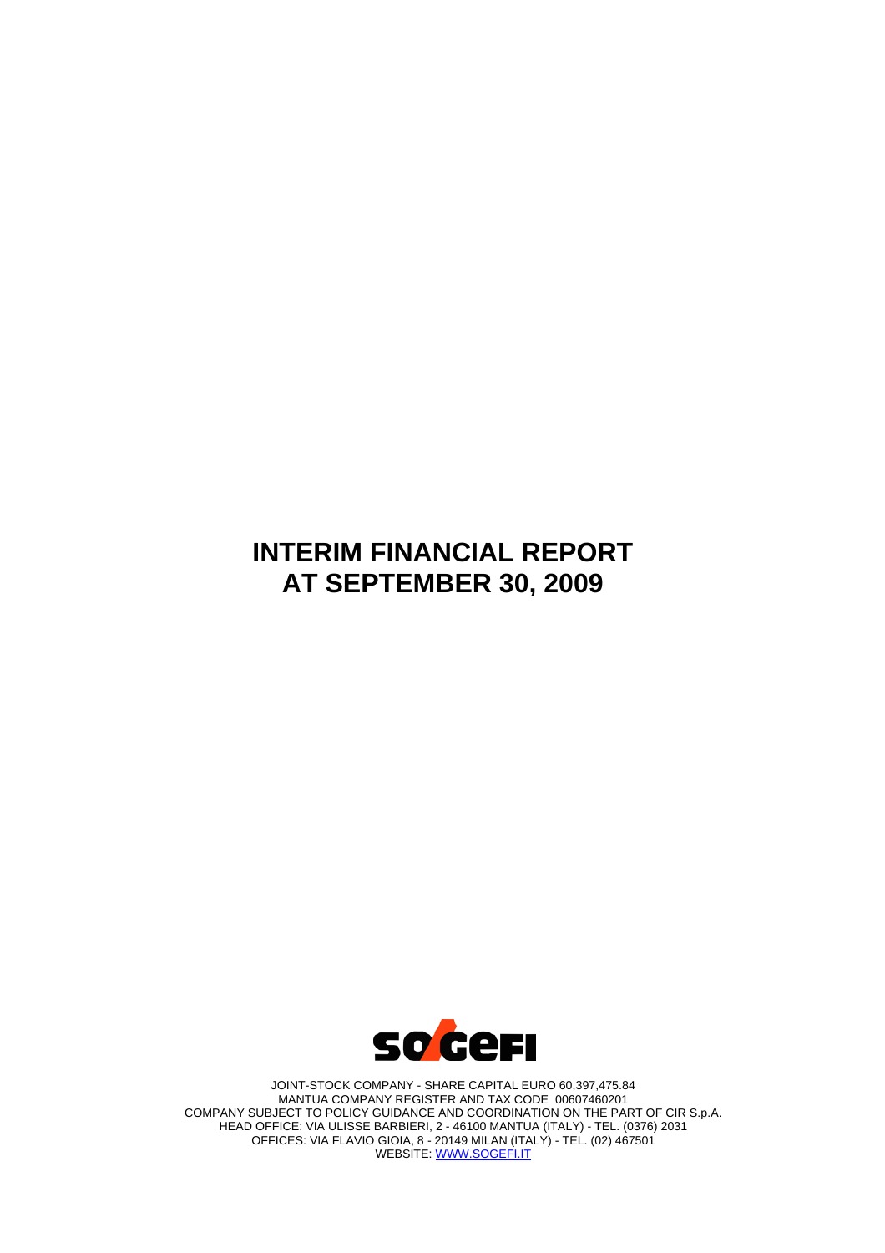# **INTERIM FINANCIAL REPORT AT SEPTEMBER 30, 2009**



JOINT-STOCK COMPANY - SHARE CAPITAL EURO 60,397,475.84 MANTUA COMPANY REGISTER AND TAX CODE 00607460201 COMPANY SUBJECT TO POLICY GUIDANCE AND COORDINATION ON THE PART OF CIR S.p.A. HEAD OFFICE: VIA ULISSE BARBIERI, 2 - 46100 MANTUA (ITALY) - TEL. (0376) 2031 OFFICES: VIA FLAVIO GIOIA, 8 - 20149 MILAN (ITALY) - TEL. (02) 467501 WEBSITE: WWW.SOGEFI.IT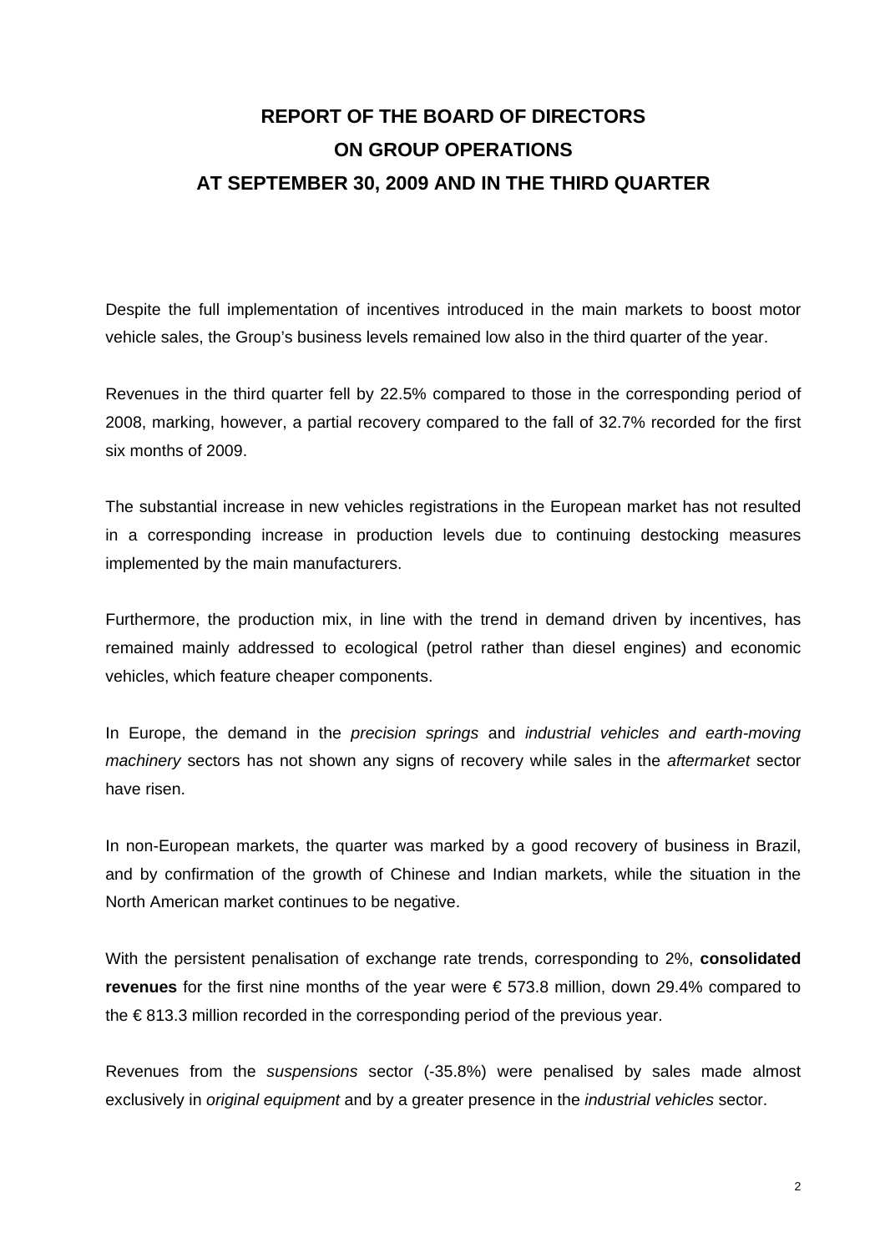# **REPORT OF THE BOARD OF DIRECTORS ON GROUP OPERATIONS AT SEPTEMBER 30, 2009 AND IN THE THIRD QUARTER**

Despite the full implementation of incentives introduced in the main markets to boost motor vehicle sales, the Group's business levels remained low also in the third quarter of the year.

Revenues in the third quarter fell by 22.5% compared to those in the corresponding period of 2008, marking, however, a partial recovery compared to the fall of 32.7% recorded for the first six months of 2009.

The substantial increase in new vehicles registrations in the European market has not resulted in a corresponding increase in production levels due to continuing destocking measures implemented by the main manufacturers.

Furthermore, the production mix, in line with the trend in demand driven by incentives, has remained mainly addressed to ecological (petrol rather than diesel engines) and economic vehicles, which feature cheaper components.

In Europe, the demand in the *precision springs* and *industrial vehicles and earth-moving machinery* sectors has not shown any signs of recovery while sales in the *aftermarket* sector have risen.

In non-European markets, the quarter was marked by a good recovery of business in Brazil, and by confirmation of the growth of Chinese and Indian markets, while the situation in the North American market continues to be negative.

With the persistent penalisation of exchange rate trends, corresponding to 2%, **consolidated revenues** for the first nine months of the year were € 573.8 million, down 29.4% compared to the € 813.3 million recorded in the corresponding period of the previous year.

Revenues from the *suspensions* sector (-35.8%) were penalised by sales made almost exclusively in *original equipment* and by a greater presence in the *industrial vehicles* sector.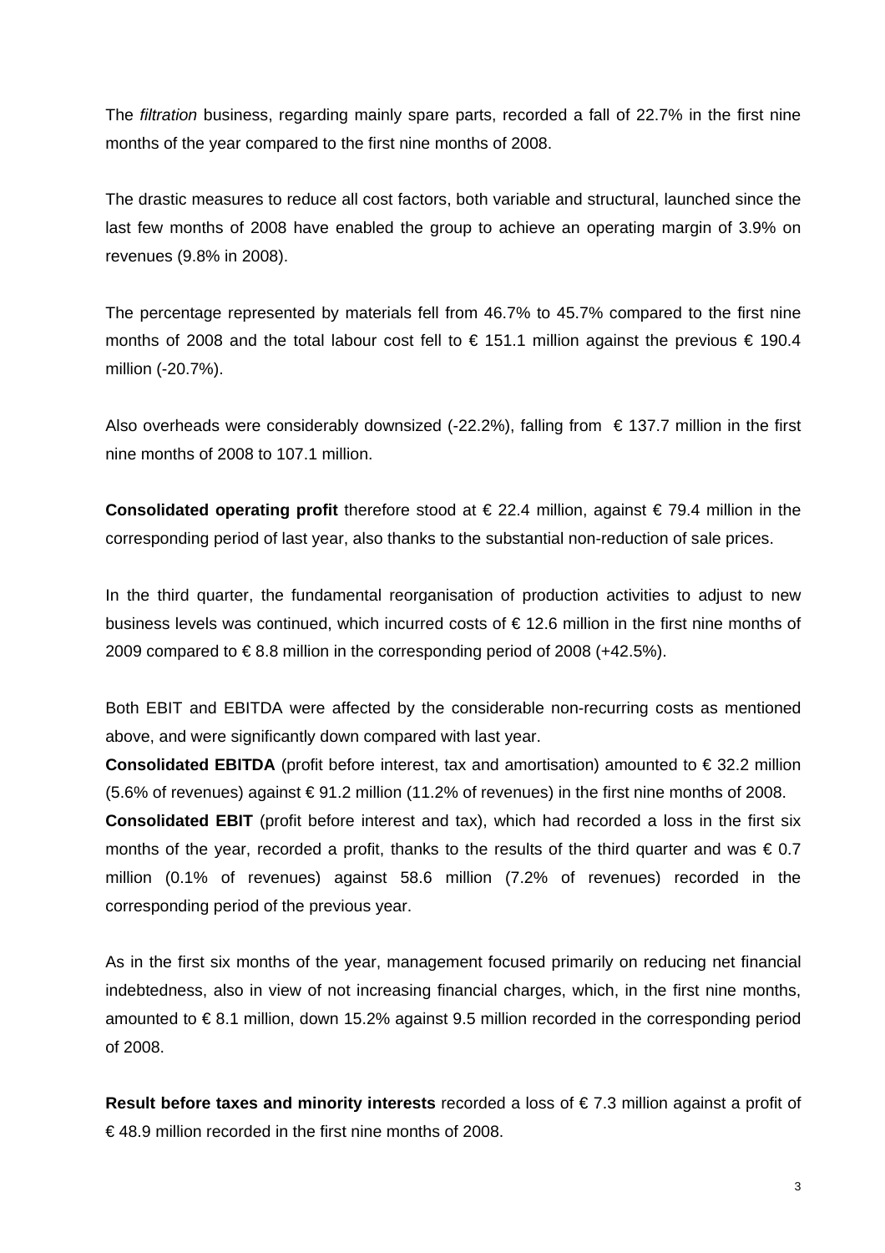The *filtration* business, regarding mainly spare parts, recorded a fall of 22.7% in the first nine months of the year compared to the first nine months of 2008.

The drastic measures to reduce all cost factors, both variable and structural, launched since the last few months of 2008 have enabled the group to achieve an operating margin of 3.9% on revenues (9.8% in 2008).

The percentage represented by materials fell from 46.7% to 45.7% compared to the first nine months of 2008 and the total labour cost fell to  $\epsilon$  151.1 million against the previous  $\epsilon$  190.4 million (-20.7%).

Also overheads were considerably downsized (-22.2%), falling from  $\epsilon$  137.7 million in the first nine months of 2008 to 107.1 million.

**Consolidated operating profit** therefore stood at € 22.4 million, against € 79.4 million in the corresponding period of last year, also thanks to the substantial non-reduction of sale prices.

In the third quarter, the fundamental reorganisation of production activities to adjust to new business levels was continued, which incurred costs of € 12.6 million in the first nine months of 2009 compared to  $\in$  8.8 million in the corresponding period of 2008 (+42.5%).

Both EBIT and EBITDA were affected by the considerable non-recurring costs as mentioned above, and were significantly down compared with last year.

**Consolidated EBITDA** (profit before interest, tax and amortisation) amounted to € 32.2 million  $(5.6\% \text{ of revenues})$  against  $\in$  91.2 million (11.2% of revenues) in the first nine months of 2008.

**Consolidated EBIT** (profit before interest and tax), which had recorded a loss in the first six months of the year, recorded a profit, thanks to the results of the third quarter and was  $\epsilon$  0.7 million (0.1% of revenues) against 58.6 million (7.2% of revenues) recorded in the corresponding period of the previous year.

As in the first six months of the year, management focused primarily on reducing net financial indebtedness, also in view of not increasing financial charges, which, in the first nine months, amounted to € 8.1 million, down 15.2% against 9.5 million recorded in the corresponding period of 2008.

**Result before taxes and minority interests** recorded a loss of € 7.3 million against a profit of € 48.9 million recorded in the first nine months of 2008.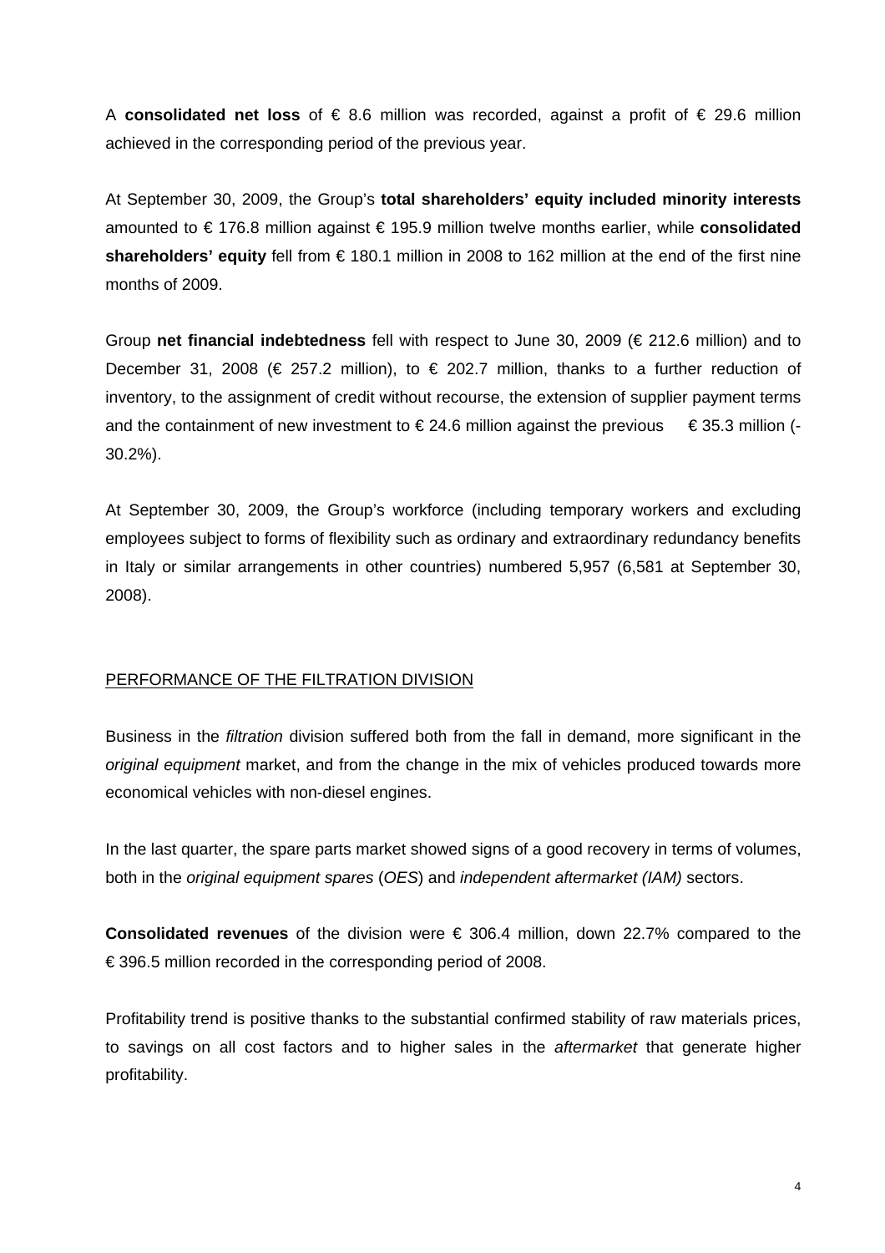A **consolidated net loss** of € 8.6 million was recorded, against a profit of € 29.6 million achieved in the corresponding period of the previous year.

At September 30, 2009, the Group's **total shareholders' equity included minority interests**  amounted to € 176.8 million against € 195.9 million twelve months earlier, while **consolidated shareholders' equity** fell from € 180.1 million in 2008 to 162 million at the end of the first nine months of 2009.

Group **net financial indebtedness** fell with respect to June 30, 2009 (€ 212.6 million) and to December 31, 2008 ( $\in$  257.2 million), to  $\in$  202.7 million, thanks to a further reduction of inventory, to the assignment of credit without recourse, the extension of supplier payment terms and the containment of new investment to  $\epsilon$  24.6 million against the previous  $\epsilon$  35.3 million (-30.2%).

At September 30, 2009, the Group's workforce (including temporary workers and excluding employees subject to forms of flexibility such as ordinary and extraordinary redundancy benefits in Italy or similar arrangements in other countries) numbered 5,957 (6,581 at September 30, 2008).

# PERFORMANCE OF THE FILTRATION DIVISION

Business in the *filtration* division suffered both from the fall in demand, more significant in the *original equipment* market, and from the change in the mix of vehicles produced towards more economical vehicles with non-diesel engines.

In the last quarter, the spare parts market showed signs of a good recovery in terms of volumes, both in the *original equipment spares* (*OES*) and *independent aftermarket (IAM)* sectors.

**Consolidated revenues** of the division were € 306.4 million, down 22.7% compared to the € 396.5 million recorded in the corresponding period of 2008.

Profitability trend is positive thanks to the substantial confirmed stability of raw materials prices, to savings on all cost factors and to higher sales in the *aftermarket* that generate higher profitability.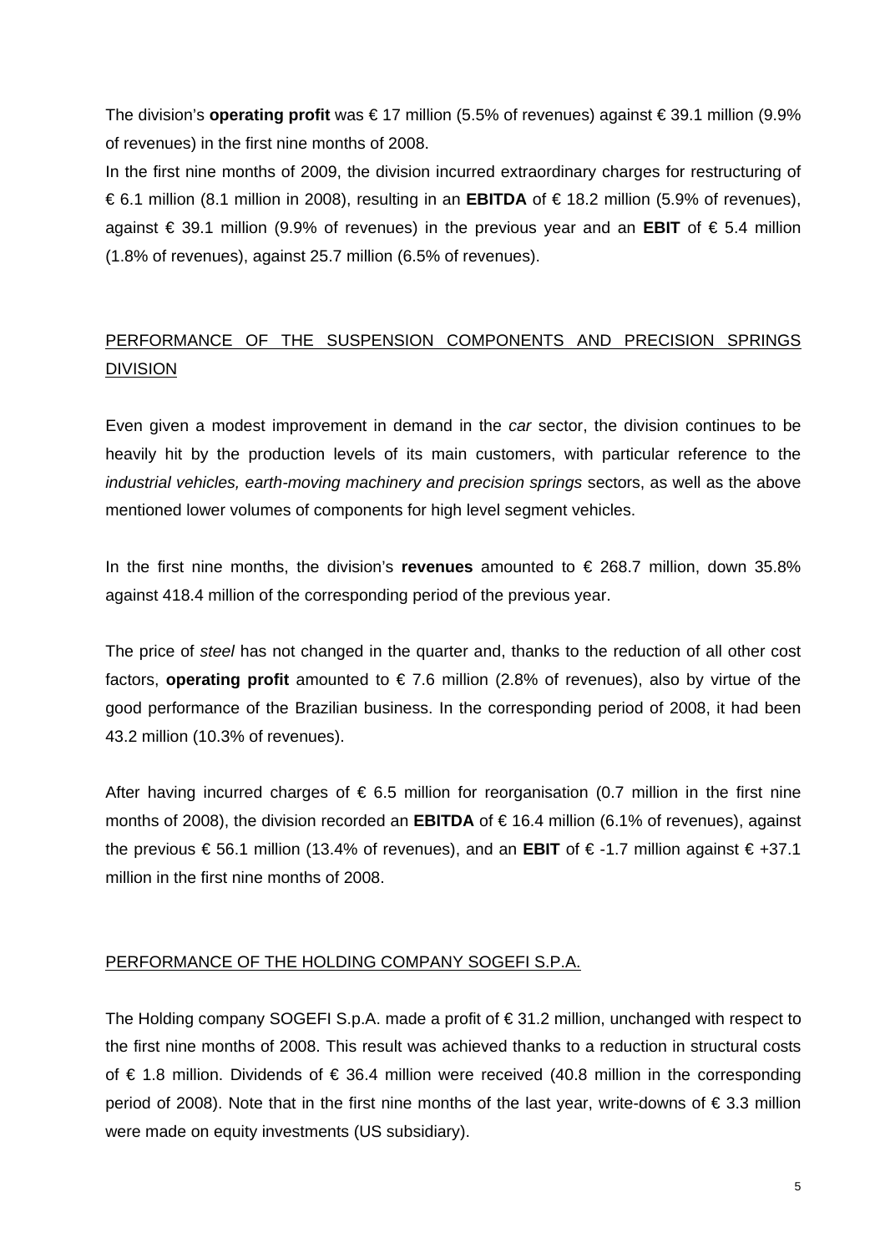The division's **operating profit** was € 17 million (5.5% of revenues) against € 39.1 million (9.9% of revenues) in the first nine months of 2008.

In the first nine months of 2009, the division incurred extraordinary charges for restructuring of € 6.1 million (8.1 million in 2008), resulting in an **EBITDA** of € 18.2 million (5.9% of revenues), against € 39.1 million (9.9% of revenues) in the previous year and an **EBIT** of € 5.4 million (1.8% of revenues), against 25.7 million (6.5% of revenues).

# PERFORMANCE OF THE SUSPENSION COMPONENTS AND PRECISION SPRINGS DIVISION

Even given a modest improvement in demand in the *car* sector, the division continues to be heavily hit by the production levels of its main customers, with particular reference to the *industrial vehicles, earth-moving machinery and precision springs* sectors, as well as the above mentioned lower volumes of components for high level segment vehicles.

In the first nine months, the division's **revenues** amounted to € 268.7 million, down 35.8% against 418.4 million of the corresponding period of the previous year.

The price of *steel* has not changed in the quarter and, thanks to the reduction of all other cost factors, **operating profit** amounted to € 7.6 million (2.8% of revenues), also by virtue of the good performance of the Brazilian business. In the corresponding period of 2008, it had been 43.2 million (10.3% of revenues).

After having incurred charges of  $\epsilon$  6.5 million for reorganisation (0.7 million in the first nine months of 2008), the division recorded an **EBITDA** of € 16.4 million (6.1% of revenues), against the previous € 56.1 million (13.4% of revenues), and an **EBIT** of € -1.7 million against € +37.1 million in the first nine months of 2008.

# PERFORMANCE OF THE HOLDING COMPANY SOGEFI S.P.A.

The Holding company SOGEFI S.p.A. made a profit of € 31.2 million, unchanged with respect to the first nine months of 2008. This result was achieved thanks to a reduction in structural costs of € 1.8 million. Dividends of € 36.4 million were received (40.8 million in the corresponding period of 2008). Note that in the first nine months of the last year, write-downs of € 3.3 million were made on equity investments (US subsidiary).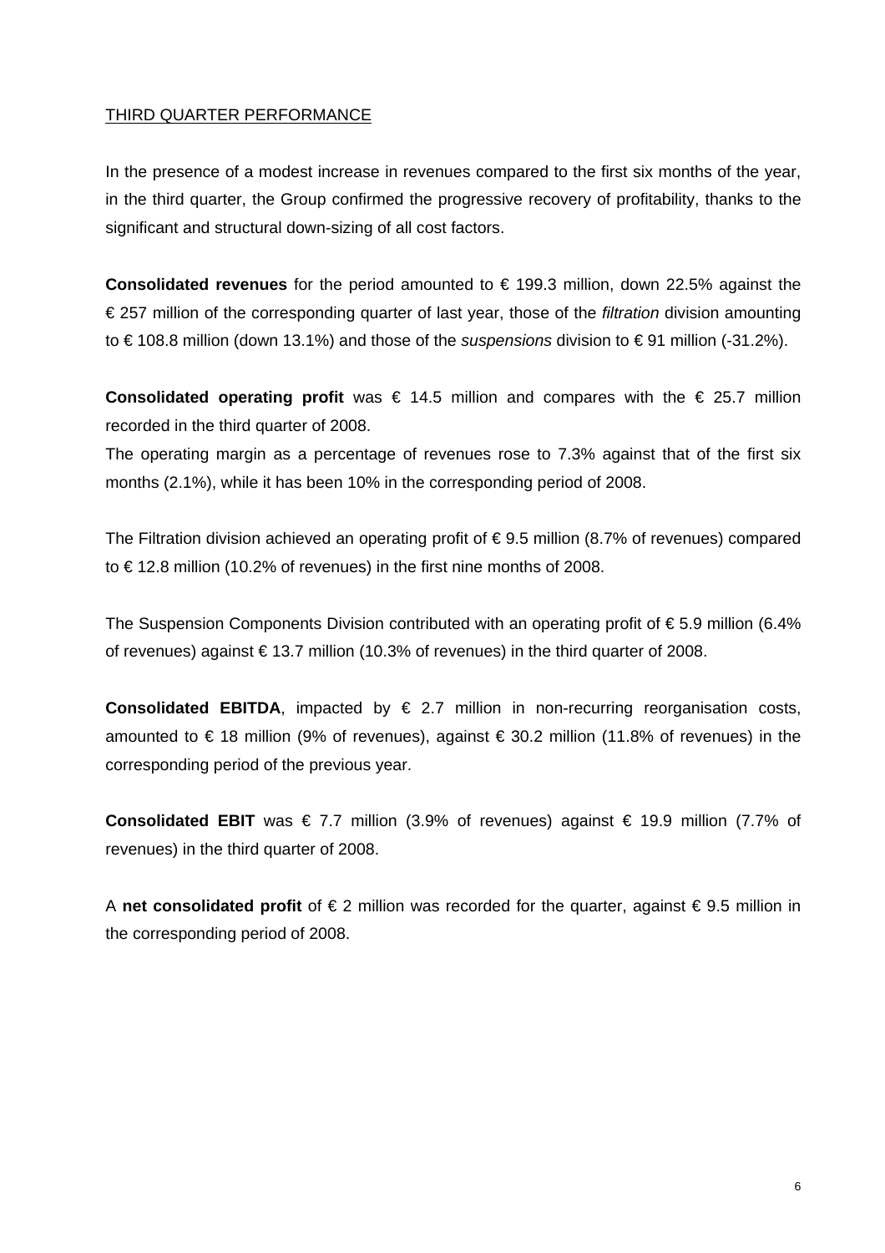# THIRD QUARTER PERFORMANCE

In the presence of a modest increase in revenues compared to the first six months of the year, in the third quarter, the Group confirmed the progressive recovery of profitability, thanks to the significant and structural down-sizing of all cost factors.

**Consolidated revenues** for the period amounted to € 199.3 million, down 22.5% against the € 257 million of the corresponding quarter of last year, those of the *filtration* division amounting to € 108.8 million (down 13.1%) and those of the *suspensions* division to € 91 million (-31.2%).

**Consolidated operating profit** was  $€ 14.5$  million and compares with the  $€ 25.7$  million recorded in the third quarter of 2008.

The operating margin as a percentage of revenues rose to 7.3% against that of the first six months (2.1%), while it has been 10% in the corresponding period of 2008.

The Filtration division achieved an operating profit of  $\epsilon$  9.5 million (8.7% of revenues) compared to € 12.8 million (10.2% of revenues) in the first nine months of 2008.

The Suspension Components Division contributed with an operating profit of € 5.9 million (6.4% of revenues) against € 13.7 million (10.3% of revenues) in the third quarter of 2008.

**Consolidated EBITDA**, impacted by  $\epsilon$  2.7 million in non-recurring reorganisation costs, amounted to  $\epsilon$  18 million (9% of revenues), against  $\epsilon$  30.2 million (11.8% of revenues) in the corresponding period of the previous year.

**Consolidated EBIT** was € 7.7 million (3.9% of revenues) against € 19.9 million (7.7% of revenues) in the third quarter of 2008.

A **net consolidated profit** of € 2 million was recorded for the quarter, against € 9.5 million in the corresponding period of 2008.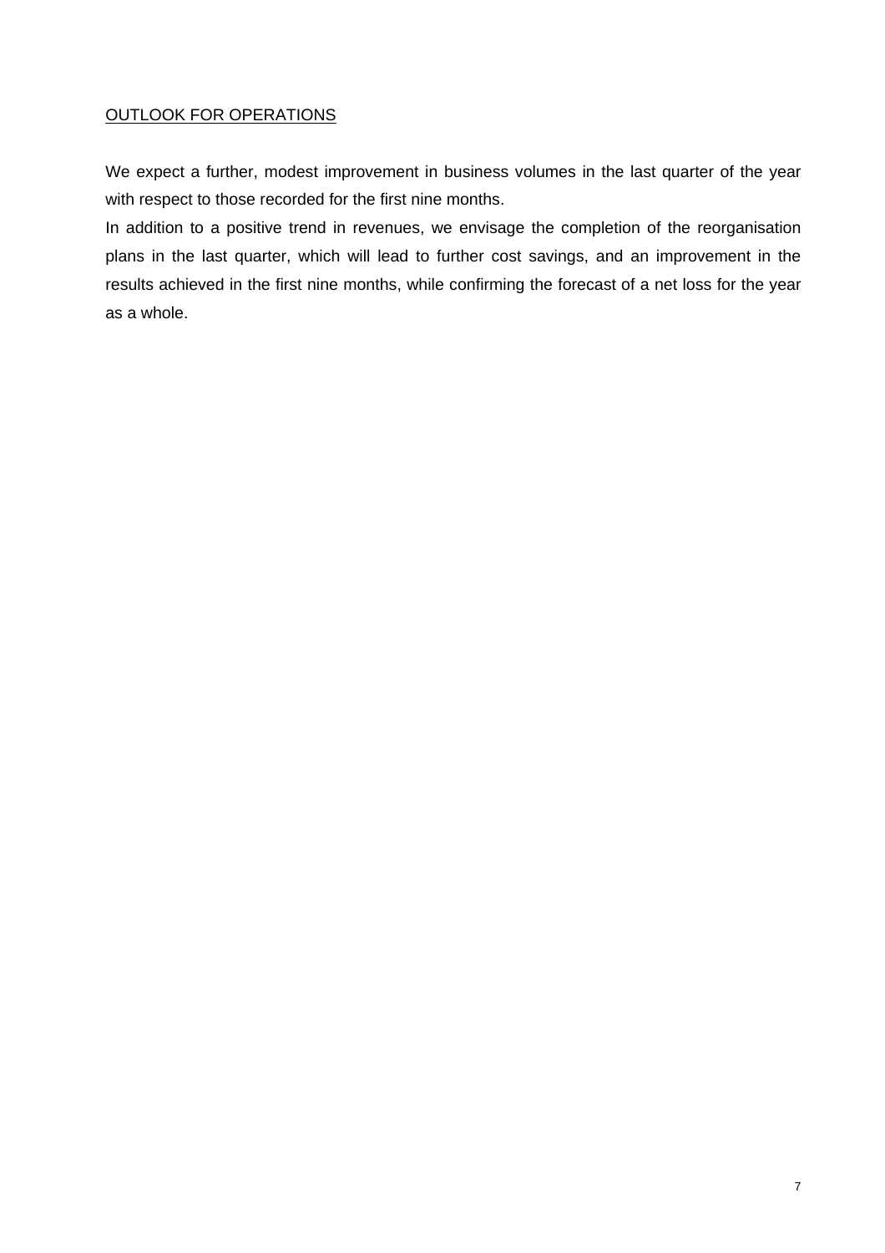# OUTLOOK FOR OPERATIONS

We expect a further, modest improvement in business volumes in the last quarter of the year with respect to those recorded for the first nine months.

In addition to a positive trend in revenues, we envisage the completion of the reorganisation plans in the last quarter, which will lead to further cost savings, and an improvement in the results achieved in the first nine months, while confirming the forecast of a net loss for the year as a whole.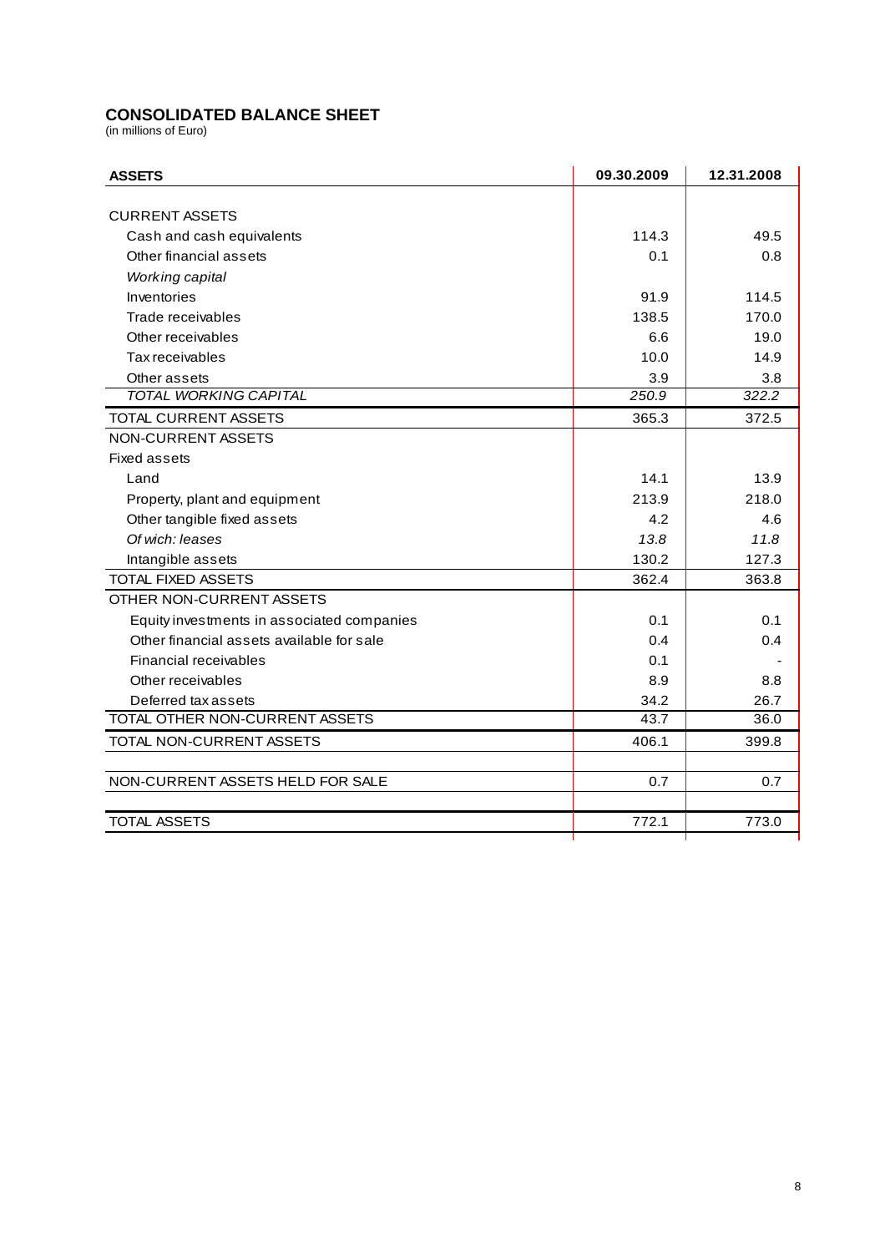# **CONSOLIDATED BALANCE SHEET**

(in millions of Euro)

| <b>ASSETS</b>                              | 09.30.2009 | 12.31.2008 |
|--------------------------------------------|------------|------------|
|                                            |            |            |
| <b>CURRENT ASSETS</b>                      |            |            |
| Cash and cash equivalents                  | 114.3      | 49.5       |
| Other financial assets                     | 0.1        | 0.8        |
| Working capital                            |            |            |
| Inventories                                | 91.9       | 114.5      |
| Trade receivables                          | 138.5      | 170.0      |
| Other receivables                          | 6.6        | 19.0       |
| Tax receivables                            | 10.0       | 14.9       |
| Other assets                               | 3.9        | 3.8        |
| <b>TOTAL WORKING CAPITAL</b>               | 250.9      | 322.2      |
| TOTAL CURRENT ASSETS                       | 365.3      | 372.5      |
| NON-CURRENT ASSETS                         |            |            |
| <b>Fixed assets</b>                        |            |            |
| Land                                       | 14.1       | 13.9       |
| Property, plant and equipment              | 213.9      | 218.0      |
| Other tangible fixed assets                | 4.2        | 4.6        |
| Of wich: leases                            | 13.8       | 11.8       |
| Intangible assets                          | 130.2      | 127.3      |
| <b>TOTAL FIXED ASSETS</b>                  | 362.4      | 363.8      |
| OTHER NON-CURRENT ASSETS                   |            |            |
| Equity investments in associated companies | 0.1        | 0.1        |
| Other financial assets available for sale  | 0.4        | 0.4        |
| Financial receivables                      | 0.1        |            |
| Other receivables                          | 8.9        | 8.8        |
| Deferred tax assets                        | 34.2       | 26.7       |
| TOTAL OTHER NON-CURRENT ASSETS             | 43.7       | 36.0       |
| TOTAL NON-CURRENT ASSETS                   | 406.1      | 399.8      |
|                                            |            |            |
| NON-CURRENT ASSETS HELD FOR SALE           | 0.7        | 0.7        |
|                                            |            |            |
| <b>TOTAL ASSETS</b>                        | 772.1      | 773.0      |
|                                            |            |            |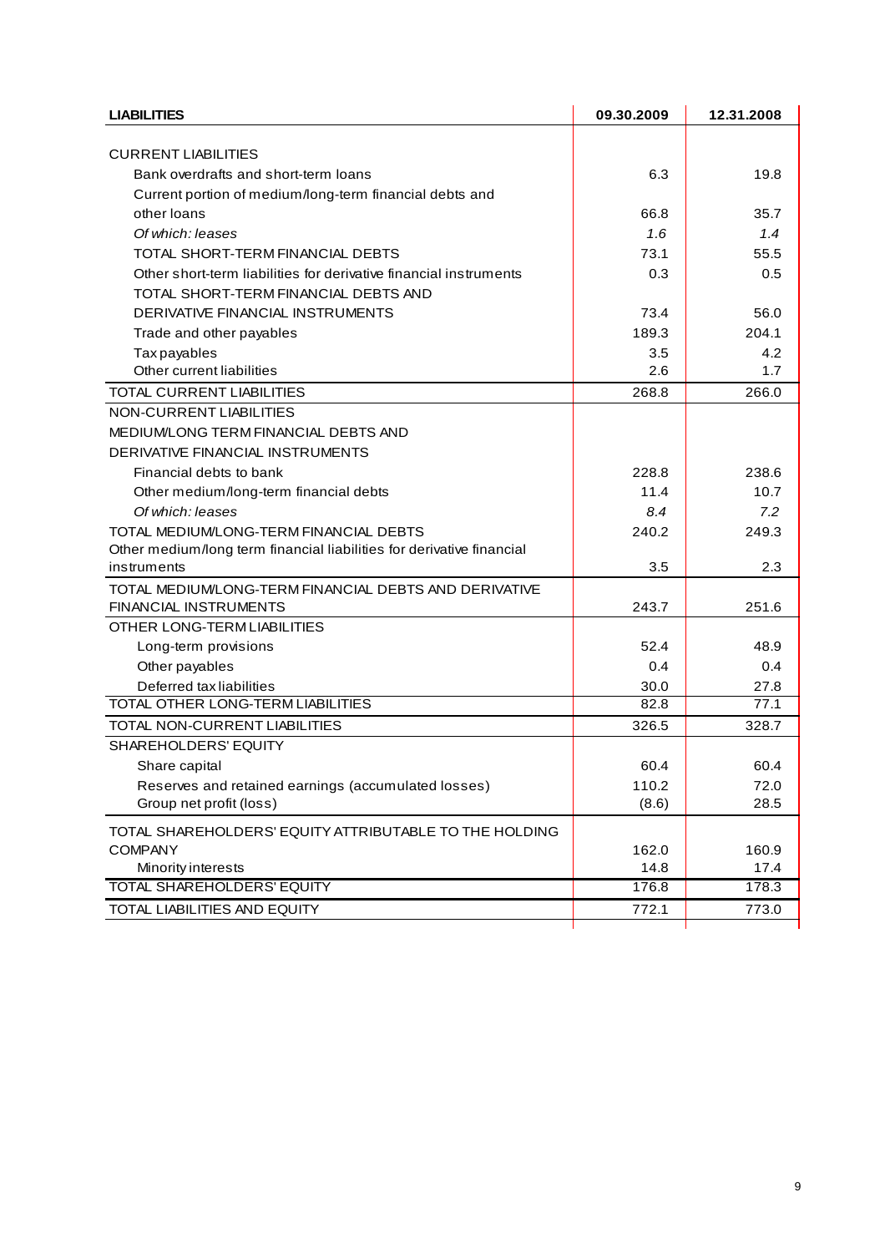| <b>LIABILITIES</b>                                                    | 09.30.2009 | 12.31.2008 |
|-----------------------------------------------------------------------|------------|------------|
|                                                                       |            |            |
| <b>CURRENT LIABILITIES</b>                                            |            |            |
| Bank overdrafts and short-term loans                                  | 6.3        | 19.8       |
| Current portion of medium/long-term financial debts and               |            |            |
| other loans                                                           | 66.8       | 35.7       |
| Of which: leases                                                      | 1.6        | 1.4        |
| TOTAL SHORT-TERM FINANCIAL DEBTS                                      | 73.1       | 55.5       |
| Other short-term liabilities for derivative financial instruments     | 0.3        | 0.5        |
| TOTAL SHORT-TERM FINANCIAL DEBTS AND                                  |            |            |
| DERIVATIVE FINANCIAL INSTRUMENTS                                      | 73.4       | 56.0       |
| Trade and other payables                                              | 189.3      | 204.1      |
| <b>Tax payables</b>                                                   | 3.5        | 4.2        |
| Other current liabilities                                             | 2.6        | 1.7        |
| TOTAL CURRENT LIABILITIES                                             | 268.8      | 266.0      |
| NON-CURRENT LIABILITIES                                               |            |            |
| MEDIUM/LONG TERM FINANCIAL DEBTS AND                                  |            |            |
| DERIVATIVE FINANCIAL INSTRUMENTS                                      |            |            |
| Financial debts to bank                                               | 228.8      | 238.6      |
| Other medium/long-term financial debts                                | 11.4       | 10.7       |
| Of which: leases                                                      | 8.4        | 7.2        |
| TOTAL MEDIUM/LONG-TERM FINANCIAL DEBTS                                | 240.2      | 249.3      |
| Other medium/long term financial liabilities for derivative financial |            |            |
| instruments                                                           | 3.5        | 2.3        |
| TOTAL MEDIUM/LONG-TERM FINANCIAL DEBTS AND DERIVATIVE                 |            |            |
| <b>FINANCIAL INSTRUMENTS</b>                                          | 243.7      | 251.6      |
| OTHER LONG-TERM LIABILITIES                                           |            |            |
| Long-term provisions                                                  | 52.4       | 48.9       |
| Other payables                                                        | 0.4        | 0.4        |
| Deferred tax liabilities                                              | 30.0       | 27.8       |
| TOTAL OTHER LONG-TERM LIABILITIES                                     | 82.8       | 77.1       |
| TOTAL NON-CURRENT LIABILITIES                                         | 326.5      | 328.7      |
| SHAREHOLDERS' EQUITY                                                  |            |            |
| Share capital                                                         | 60.4       | 60.4       |
| Reserves and retained earnings (accumulated losses)                   | 110.2      | 72.0       |
| Group net profit (loss)                                               | (8.6)      | 28.5       |
| TOTAL SHAREHOLDERS' EQUITY ATTRIBUTABLE TO THE HOLDING                |            |            |
| <b>COMPANY</b>                                                        | 162.0      | 160.9      |
| Minority interests                                                    | 14.8       | 17.4       |
| <b>TOTAL SHAREHOLDERS' EQUITY</b>                                     | 176.8      | 178.3      |
| TOTAL LIABILITIES AND EQUITY                                          | 772.1      | 773.0      |
|                                                                       |            |            |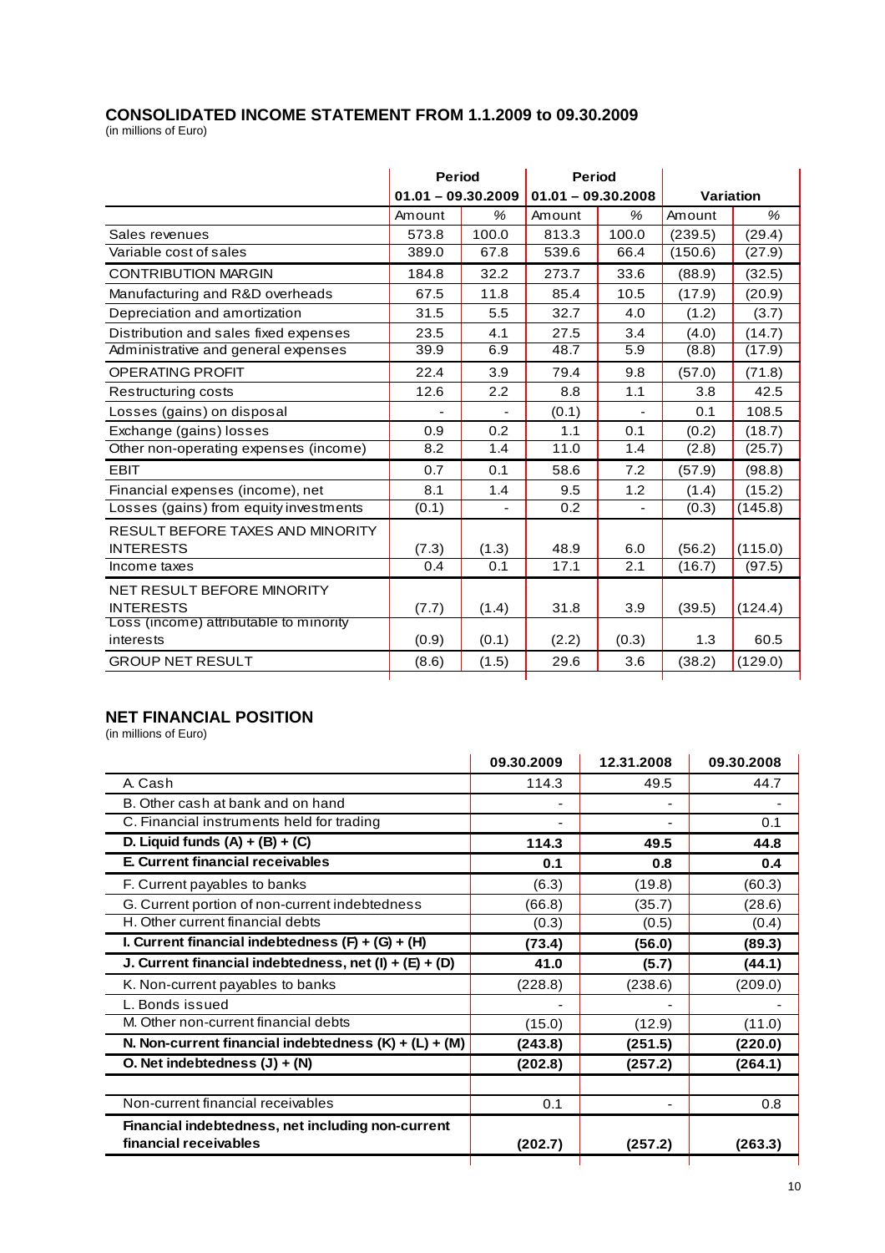# **CONSOLIDATED INCOME STATEMENT FROM 1.1.2009 to 09.30.2009**

(in millions of Euro)

| $01.01 - 09.30.2009$<br>Amount | %              |        |                      |         |           |  |
|--------------------------------|----------------|--------|----------------------|---------|-----------|--|
|                                |                |        | $01.01 - 09.30.2008$ |         | Variation |  |
|                                |                | Amount | $\%$                 | Amount  | $\%$      |  |
|                                | 100.0          | 813.3  | 100.0                | (239.5) | (29.4)    |  |
| 389.0                          | 67.8           | 539.6  | 66.4                 | (150.6) | (27.9)    |  |
| 184.8                          | 32.2           | 273.7  | 33.6                 | (88.9)  | (32.5)    |  |
| 67.5                           | 11.8           | 85.4   | 10.5                 | (17.9)  | (20.9)    |  |
| 31.5                           | 5.5            | 32.7   | 4.0                  | (1.2)   | (3.7)     |  |
| 23.5                           | 4.1            | 27.5   | 3.4                  | (4.0)   | (14.7)    |  |
| 39.9                           | 6.9            | 48.7   | 5.9                  | (8.8)   | (17.9)    |  |
| 22.4                           | 3.9            | 79.4   | 9.8                  | (57.0)  | (71.8)    |  |
| 12.6                           | 2.2            | 8.8    | 1.1                  | 3.8     | 42.5      |  |
|                                |                | (0.1)  | $\overline{a}$       | 0.1     | 108.5     |  |
| 0.9                            | 0.2            | 1.1    | 0.1                  | (0.2)   | (18.7)    |  |
| 8.2                            | 1.4            | 11.0   | 1.4                  | (2.8)   | (25.7)    |  |
| 0.7                            | 0.1            | 58.6   | 7.2                  | (57.9)  | (98.8)    |  |
| 8.1                            | 1.4            | 9.5    | 1.2                  | (1.4)   | (15.2)    |  |
| (0.1)                          |                | 0.2    |                      | (0.3)   | (145.8)   |  |
|                                |                |        |                      |         |           |  |
| (7.3)                          | (1.3)          | 48.9   | 6.0                  | (56.2)  | (115.0)   |  |
| 0.4                            | 0.1            | 17.1   | 2.1                  | (16.7)  | (97.5)    |  |
|                                |                |        |                      |         |           |  |
| (7.7)                          | (1.4)          | 31.8   | 3.9                  | (39.5)  | (124.4)   |  |
|                                |                |        |                      |         |           |  |
|                                |                |        |                      |         | 60.5      |  |
| (8.6)                          | (1.5)          | 29.6   | 3.6                  | (38.2)  | (129.0)   |  |
|                                | 573.8<br>(0.9) | (0.1)  | (2.2)                | (0.3)   | 1.3       |  |

# **NET FINANCIAL POSITION**

(in millions of Euro)

|                                                          | 09.30.2009 | 12.31.2008               | 09.30.2008 |
|----------------------------------------------------------|------------|--------------------------|------------|
| A. Cash                                                  | 114.3      | 49.5                     | 44.7       |
| B. Other cash at bank and on hand                        |            |                          |            |
| C. Financial instruments held for trading                |            |                          | 0.1        |
| D. Liquid funds $(A) + (B) + (C)$                        | 114.3      | 49.5                     | 44.8       |
| E. Current financial receivables                         | 0.1        | 0.8                      | 0.4        |
| F. Current payables to banks                             | (6.3)      | (19.8)                   | (60.3)     |
| G. Current portion of non-current indebtedness           | (66.8)     | (35.7)                   | (28.6)     |
| H. Other current financial debts                         | (0.3)      | (0.5)                    | (0.4)      |
| I. Current financial indebtedness $(F) + (G) + (H)$      | (73.4)     | (56.0)                   | (89.3)     |
| J. Current financial indebtedness, net $(l) + (E) + (D)$ | 41.0       | (5.7)                    | (44.1)     |
| K. Non-current payables to banks                         | (228.8)    | (238.6)                  | (209.0)    |
| L. Bonds issued                                          |            |                          |            |
| M. Other non-current financial debts                     | (15.0)     | (12.9)                   | (11.0)     |
| N. Non-current financial indebtedness $(K) + (L) + (M)$  | (243.8)    | (251.5)                  | (220.0)    |
| O. Net indebtedness $(J) + (N)$                          | (202.8)    | (257.2)                  | (264.1)    |
|                                                          |            |                          |            |
| Non-current financial receivables                        | 0.1        | $\overline{\phantom{a}}$ | 0.8        |
| Financial indebtedness, net including non-current        |            |                          |            |
| financial receivables                                    | (202.7)    | (257.2)                  | (263.3)    |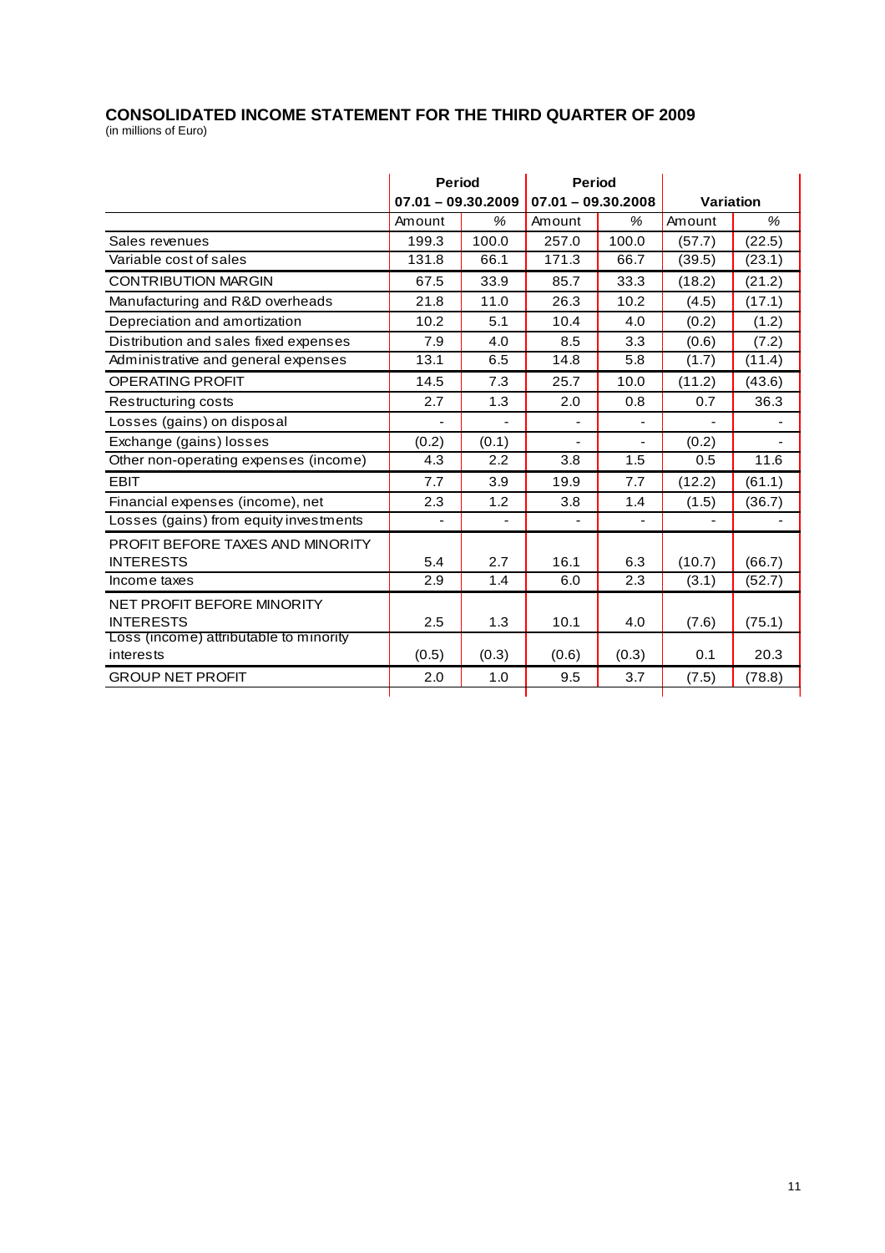#### **CONSOLIDATED INCOME STATEMENT FOR THE THIRD QUARTER OF 2009**  (in millions of Euro)

|                                        | <b>Period</b>                           |                  | <b>Period</b> |       |           |        |
|----------------------------------------|-----------------------------------------|------------------|---------------|-------|-----------|--------|
|                                        | $07.01 - 09.30.2009$ 07.01 - 09.30.2008 |                  |               |       | Variation |        |
|                                        | Amount                                  | %                | Amount        | %     | Amount    | %      |
| Sales revenues                         | 199.3                                   | 100.0            | 257.0         | 100.0 | (57.7)    | (22.5) |
| Variable cost of sales                 | 131.8                                   | 66.1             | 171.3         | 66.7  | (39.5)    | (23.1) |
| <b>CONTRIBUTION MARGIN</b>             | 67.5                                    | 33.9             | 85.7          | 33.3  | (18.2)    | (21.2) |
| Manufacturing and R&D overheads        | 21.8                                    | 11.0             | 26.3          | 10.2  | (4.5)     | (17.1) |
| Depreciation and amortization          | 10.2                                    | 5.1              | 10.4          | 4.0   | (0.2)     | (1.2)  |
| Distribution and sales fixed expenses  | 7.9                                     | 4.0              | 8.5           | 3.3   | (0.6)     | (7.2)  |
| Administrative and general expenses    | 13.1                                    | 6.5              | 14.8          | 5.8   | (1.7)     | (11.4) |
| <b>OPERATING PROFIT</b>                | 14.5                                    | 7.3              | 25.7          | 10.0  | (11.2)    | (43.6) |
| Restructuring costs                    | 2.7                                     | 1.3              | 2.0           | 0.8   | 0.7       | 36.3   |
| Losses (gains) on disposal             |                                         |                  | ۰             | ۰     |           |        |
| Exchange (gains) losses                | (0.2)                                   | (0.1)            |               |       | (0.2)     |        |
| Other non-operating expenses (income)  | 4.3                                     | 2.2              | 3.8           | 1.5   | 0.5       | 11.6   |
| <b>EBIT</b>                            | 7.7                                     | 3.9              | 19.9          | 7.7   | (12.2)    | (61.1) |
| Financial expenses (income), net       | 2.3                                     | 1.2              | 3.8           | 1.4   | (1.5)     | (36.7) |
| Losses (gains) from equity investments |                                         |                  |               |       |           |        |
| PROFIT BEFORE TAXES AND MINORITY       |                                         |                  |               |       |           |        |
| <b>INTERESTS</b>                       | 5.4                                     | 2.7              | 16.1          | 6.3   | (10.7)    | (66.7) |
| Income taxes                           | 2.9                                     | $\overline{1.4}$ | 6.0           | 2.3   | (3.1)     | (52.7) |
| NET PROFIT BEFORE MINORITY             |                                         |                  |               |       |           |        |
| <b>INTERESTS</b>                       | 2.5                                     | 1.3              | 10.1          | 4.0   | (7.6)     | (75.1) |
| Loss (income) attributable to minority |                                         |                  |               |       |           |        |
| interests                              | (0.5)                                   | (0.3)            | (0.6)         | (0.3) | 0.1       | 20.3   |
| <b>GROUP NET PROFIT</b>                | 2.0                                     | 1.0              | 9.5           | 3.7   | (7.5)     | (78.8) |
|                                        |                                         |                  |               |       |           |        |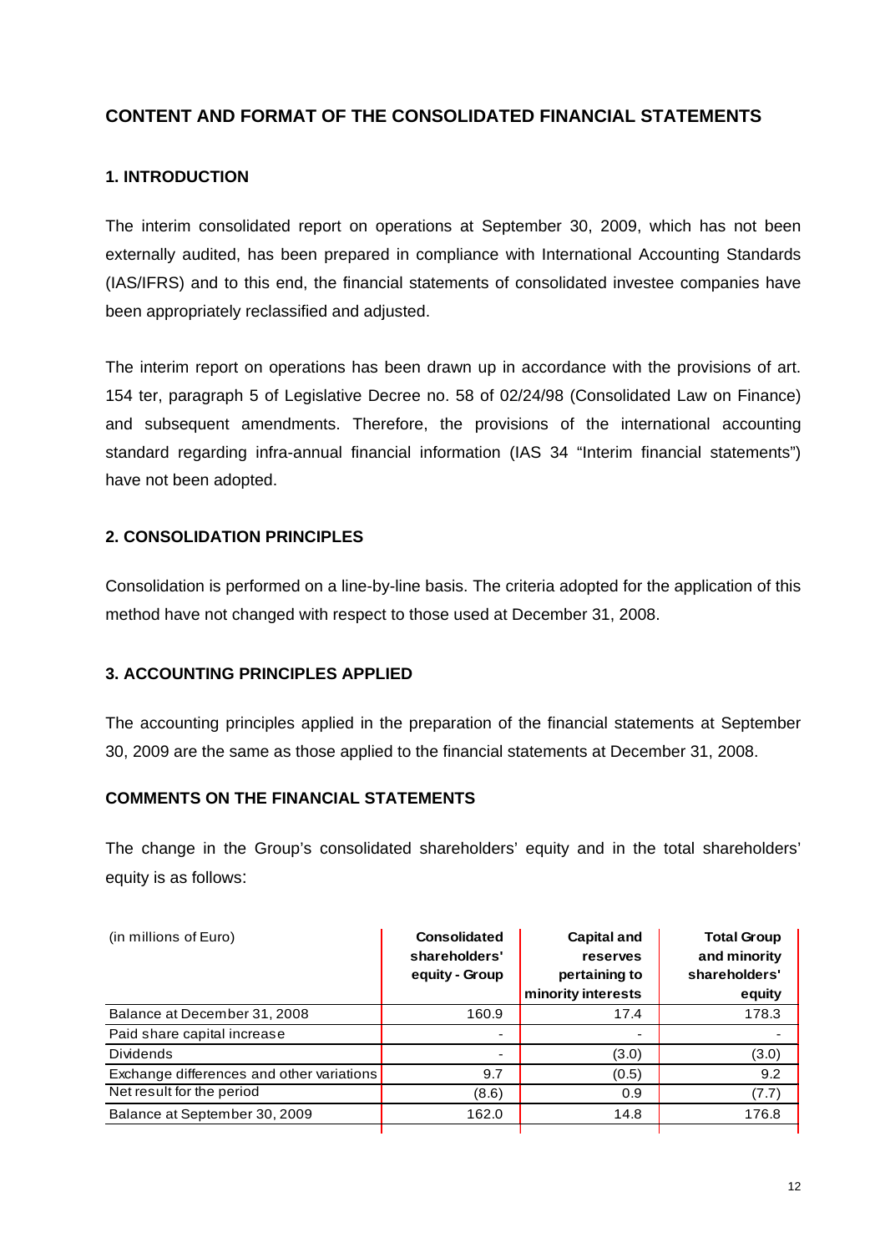# **CONTENT AND FORMAT OF THE CONSOLIDATED FINANCIAL STATEMENTS**

# **1. INTRODUCTION**

The interim consolidated report on operations at September 30, 2009, which has not been externally audited, has been prepared in compliance with International Accounting Standards (IAS/IFRS) and to this end, the financial statements of consolidated investee companies have been appropriately reclassified and adjusted.

The interim report on operations has been drawn up in accordance with the provisions of art. 154 ter, paragraph 5 of Legislative Decree no. 58 of 02/24/98 (Consolidated Law on Finance) and subsequent amendments. Therefore, the provisions of the international accounting standard regarding infra-annual financial information (IAS 34 "Interim financial statements") have not been adopted.

# **2. CONSOLIDATION PRINCIPLES**

Consolidation is performed on a line-by-line basis. The criteria adopted for the application of this method have not changed with respect to those used at December 31, 2008.

## **3. ACCOUNTING PRINCIPLES APPLIED**

The accounting principles applied in the preparation of the financial statements at September 30, 2009 are the same as those applied to the financial statements at December 31, 2008.

## **COMMENTS ON THE FINANCIAL STATEMENTS**

The change in the Group's consolidated shareholders' equity and in the total shareholders' equity is as follows:

| (in millions of Euro)                     | <b>Consolidated</b><br>shareholders'<br>equity - Group | Capital and<br>reserves<br>pertaining to<br>minority interests | <b>Total Group</b><br>and minority<br>shareholders'<br>equity |
|-------------------------------------------|--------------------------------------------------------|----------------------------------------------------------------|---------------------------------------------------------------|
| Balance at December 31, 2008              | 160.9                                                  | 17.4                                                           | 178.3                                                         |
| Paid share capital increase               | ٠                                                      | ٠                                                              |                                                               |
| <b>Dividends</b>                          | $\overline{\phantom{0}}$                               | (3.0)                                                          | (3.0)                                                         |
| Exchange differences and other variations | 9.7                                                    | (0.5)                                                          | 9.2                                                           |
| Net result for the period                 | (8.6)                                                  | 0.9                                                            | (7.7)                                                         |
| Balance at September 30, 2009             | 162.0                                                  | 14.8                                                           | 176.8                                                         |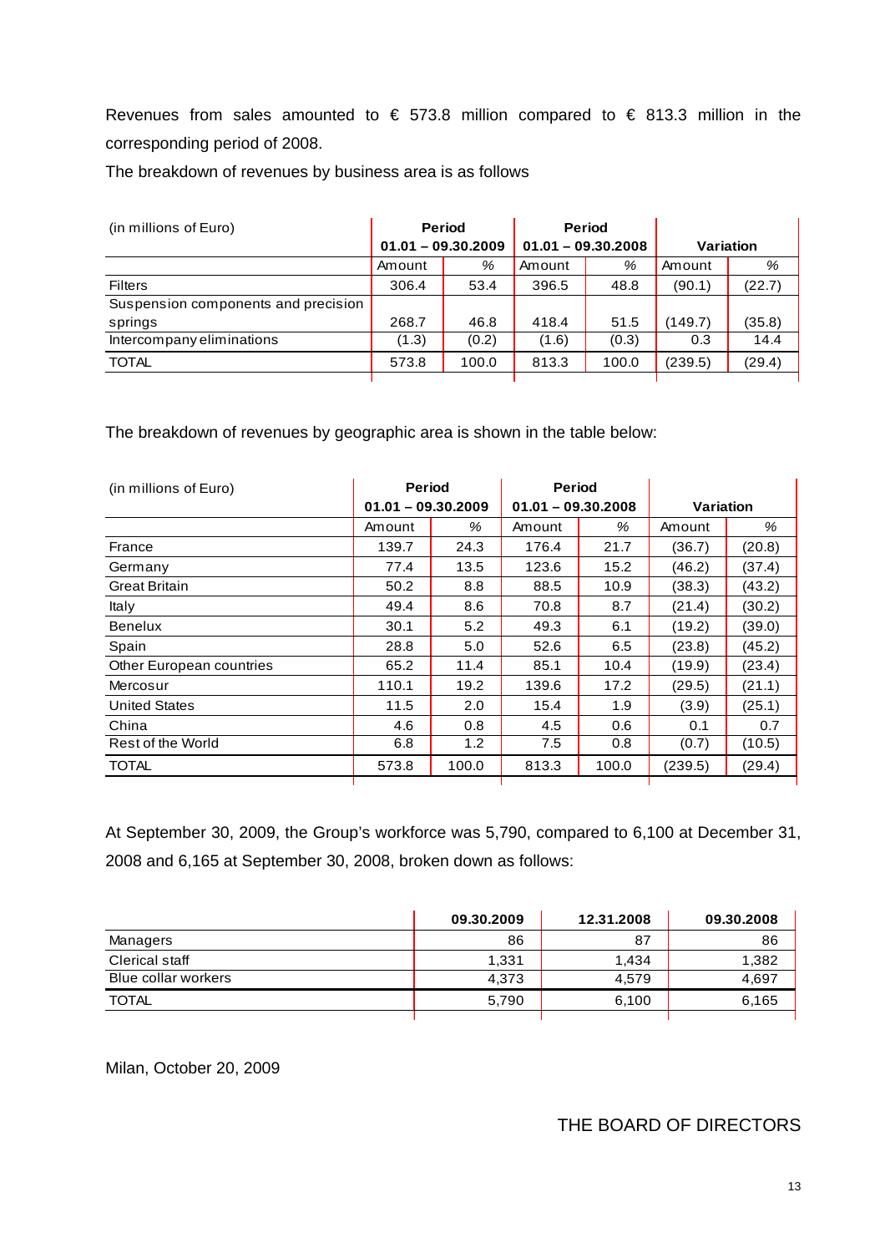Revenues from sales amounted to  $\epsilon$  573.8 million compared to  $\epsilon$  813.3 million in the corresponding period of 2008.

The breakdown of revenues by business area is as follows

| (in millions of Euro)               | <b>Period</b>        |       | <b>Period</b>        |       |           |        |
|-------------------------------------|----------------------|-------|----------------------|-------|-----------|--------|
|                                     | $01.01 - 09.30.2009$ |       | $01.01 - 09.30.2008$ |       | Variation |        |
|                                     | Amount               | %     | Amount               | %     | Amount    | %      |
| <b>Filters</b>                      | 306.4                | 53.4  | 396.5                | 48.8  | (90.1)    | (22.7) |
| Suspension components and precision |                      |       |                      |       |           |        |
| springs                             | 268.7                | 46.8  | 418.4                | 51.5  | (149.7)   | (35.8) |
| Intercompany eliminations           | (1.3)                | (0.2) | (1.6)                | (0.3) | 0.3       | 14.4   |
| <b>TOTAL</b>                        | 573.8                | 100.0 | 813.3                | 100.0 | (239.5)   | (29.4) |
|                                     |                      |       |                      |       |           |        |

The breakdown of revenues by geographic area is shown in the table below:

| (in millions of Euro)    | <b>Period</b>        |       | <b>Period</b>        |       |           |        |
|--------------------------|----------------------|-------|----------------------|-------|-----------|--------|
|                          | $01.01 - 09.30.2009$ |       | $01.01 - 09.30.2008$ |       | Variation |        |
|                          | Amount               | %     | Amount               | %     | Amount    | %      |
| France                   | 139.7                | 24.3  | 176.4                | 21.7  | (36.7)    | (20.8) |
| Germany                  | 77.4                 | 13.5  | 123.6                | 15.2  | (46.2)    | (37.4) |
| <b>Great Britain</b>     | 50.2                 | 8.8   | 88.5                 | 10.9  | (38.3)    | (43.2) |
| Italy                    | 49.4                 | 8.6   | 70.8                 | 8.7   | (21.4)    | (30.2) |
| <b>Benelux</b>           | 30.1                 | 5.2   | 49.3                 | 6.1   | (19.2)    | (39.0) |
| Spain                    | 28.8                 | 5.0   | 52.6                 | 6.5   | (23.8)    | (45.2) |
| Other European countries | 65.2                 | 11.4  | 85.1                 | 10.4  | (19.9)    | (23.4) |
| Mercosur                 | 110.1                | 19.2  | 139.6                | 17.2  | (29.5)    | (21.1) |
| <b>United States</b>     | 11.5                 | 2.0   | 15.4                 | 1.9   | (3.9)     | (25.1) |
| China                    | 4.6                  | 0.8   | 4.5                  | 0.6   | 0.1       | 0.7    |
| Rest of the World        | 6.8                  | 1.2   | 7.5                  | 0.8   | (0.7)     | (10.5) |
| <b>TOTAL</b>             | 573.8                | 100.0 | 813.3                | 100.0 | (239.5)   | (29.4) |

At September 30, 2009, the Group's workforce was 5,790, compared to 6,100 at December 31, 2008 and 6,165 at September 30, 2008, broken down as follows:

|                       | 09.30.2009 | 12.31.2008 | 09.30.2008 |
|-----------------------|------------|------------|------------|
| Managers              | 86         | 87         | 86         |
| <b>Clerical staff</b> | 1,331      | 1,434      | 1,382      |
| Blue collar workers   | 4.373      | 4.579      | 4.697      |
| <b>TOTAL</b>          | 5,790      | 6,100      | 6,165      |
|                       |            |            |            |

Milan, October 20, 2009

# THE BOARD OF DIRECTORS